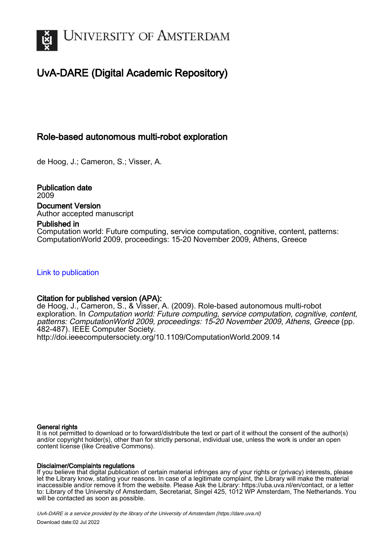

# UvA-DARE (Digital Academic Repository)

## Role-based autonomous multi-robot exploration

de Hoog, J.; Cameron, S.; Visser, A.

Publication date 2009 Document Version Author accepted manuscript

## Published in

Computation world: Future computing, service computation, cognitive, content, patterns: ComputationWorld 2009, proceedings: 15-20 November 2009, Athens, Greece

[Link to publication](https://dare.uva.nl/personal/pure/en/publications/rolebased-autonomous-multirobot-exploration(da829aeb-985a-49ea-ab19-fb8409426ae9).html)

## Citation for published version (APA):

de Hoog, J., Cameron, S., & Visser, A. (2009). Role-based autonomous multi-robot exploration. In Computation world: Future computing, service computation, cognitive, content, patterns: ComputationWorld 2009, proceedings: 15-20 November 2009, Athens, Greece (pp. 482-487). IEEE Computer Society.

<http://doi.ieeecomputersociety.org/10.1109/ComputationWorld.2009.14>

## General rights

It is not permitted to download or to forward/distribute the text or part of it without the consent of the author(s) and/or copyright holder(s), other than for strictly personal, individual use, unless the work is under an open content license (like Creative Commons).

## Disclaimer/Complaints regulations

If you believe that digital publication of certain material infringes any of your rights or (privacy) interests, please let the Library know, stating your reasons. In case of a legitimate complaint, the Library will make the material inaccessible and/or remove it from the website. Please Ask the Library: https://uba.uva.nl/en/contact, or a letter to: Library of the University of Amsterdam, Secretariat, Singel 425, 1012 WP Amsterdam, The Netherlands. You will be contacted as soon as possible.

UvA-DARE is a service provided by the library of the University of Amsterdam (http*s*://dare.uva.nl) Download date:02 Jul 2022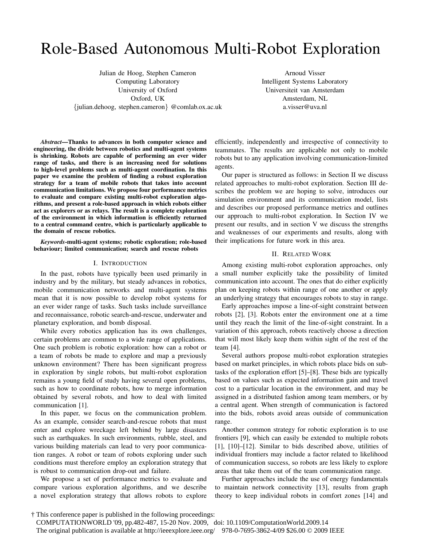# Role-Based Autonomous Multi-Robot Exploration

Julian de Hoog, Stephen Cameron Computing Laboratory University of Oxford Oxford, UK {julian.dehoog, stephen.cameron} @comlab.ox.ac.uk

Arnoud Visser Intelligent Systems Laboratory Universiteit van Amsterdam Amsterdam, NL a.visser@uva.nl

*Abstract*—Thanks to advances in both computer science and engineering, the divide between robotics and multi-agent systems is shrinking. Robots are capable of performing an ever wider range of tasks, and there is an increasing need for solutions to high-level problems such as multi-agent coordination. In this paper we examine the problem of finding a robust exploration strategy for a team of mobile robots that takes into account communication limitations. We propose four performance metrics to evaluate and compare existing multi-robot exploration algorithms, and present a role-based approach in which robots either act as explorers or as relays. The result is a complete exploration of the environment in which information is efficiently returned to a central command centre, which is particularly applicable to the domain of rescue robotics.

*Keywords*-multi-agent systems; robotic exploration; role-based behaviour; limited communication; search and rescue robots

#### I. INTRODUCTION

In the past, robots have typically been used primarily in industry and by the military, but steady advances in robotics, mobile communication networks and multi-agent systems mean that it is now possible to develop robot systems for an ever wider range of tasks. Such tasks include surveillance and reconnaissance, robotic search-and-rescue, underwater and planetary exploration, and bomb disposal.

While every robotics application has its own challenges, certain problems are common to a wide range of applications. One such problem is robotic exploration: how can a robot or a team of robots be made to explore and map a previously unknown environment? There has been significant progress in exploration by single robots, but multi-robot exploration remains a young field of study having several open problems, such as how to coordinate robots, how to merge information obtained by several robots, and how to deal with limited communication [1].

In this paper, we focus on the communication problem. As an example, consider search-and-rescue robots that must enter and explore wreckage left behind by large disasters such as earthquakes. In such environments, rubble, steel, and various building materials can lead to very poor communication ranges. A robot or team of robots exploring under such conditions must therefore employ an exploration strategy that is robust to communication drop-out and failure.

We propose a set of performance metrics to evaluate and compare various exploration algorithms, and we describe a novel exploration strategy that allows robots to explore efficiently, independently and irrespective of connectivity to teammates. The results are applicable not only to mobile robots but to any application involving communication-limited agents.

Our paper is structured as follows: in Section II we discuss related approaches to multi-robot exploration. Section III describes the problem we are hoping to solve, introduces our simulation environment and its communication model, lists and describes our proposed performance metrics and outlines our approach to multi-robot exploration. In Section IV we present our results, and in section V we discuss the strengths and weaknesses of our experiments and results, along with their implications for future work in this area.

#### II. RELATED WORK

Among existing multi-robot exploration approaches, only a small number explicitly take the possibility of limited communication into account. The ones that do either explicitly plan on keeping robots within range of one another or apply an underlying strategy that encourages robots to stay in range.

Early approaches impose a line-of-sight constraint between robots [2], [3]. Robots enter the environment one at a time until they reach the limit of the line-of-sight constraint. In a variation of this approach, robots reactively choose a direction that will most likely keep them within sight of the rest of the team [4].

Several authors propose multi-robot exploration strategies based on market principles, in which robots place bids on subtasks of the exploration effort [5]–[8]. These bids are typically based on values such as expected information gain and travel cost to a particular location in the environment, and may be assigned in a distributed fashion among team members, or by a central agent. When strength of communication is factored into the bids, robots avoid areas outside of communication range.

Another common strategy for robotic exploration is to use frontiers [9], which can easily be extended to multiple robots [1], [10]–[12]. Similar to bids described above, utilities of individual frontiers may include a factor related to likelihood of communication success, so robots are less likely to explore areas that take them out of the team communication range.

Further approaches include the use of energy fundamentals to maintain network connectivity [13], results from graph theory to keep individual robots in comfort zones [14] and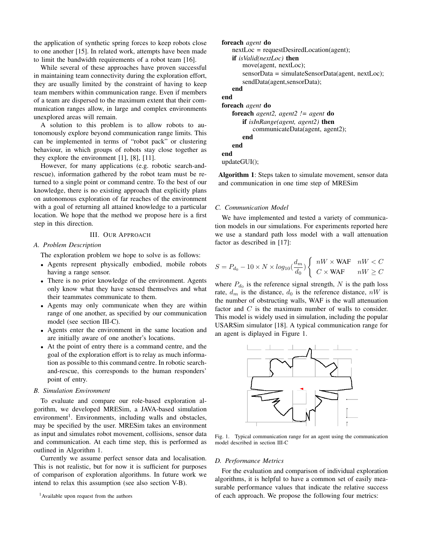the application of synthetic spring forces to keep robots close to one another [15]. In related work, attempts have been made to limit the bandwidth requirements of a robot team [16].

While several of these approaches have proven successful in maintaining team connectivity during the exploration effort, they are usually limited by the constraint of having to keep team members within communication range. Even if members of a team are dispersed to the maximum extent that their communication ranges allow, in large and complex environments unexplored areas will remain.

A solution to this problem is to allow robots to autonomously explore beyond communication range limits. This can be implemented in terms of "robot pack" or clustering behaviour, in which groups of robots stay close together as they explore the environment [1], [8], [11].

However, for many applications (e.g. robotic search-andrescue), information gathered by the robot team must be returned to a single point or command centre. To the best of our knowledge, there is no existing approach that explicitly plans on autonomous exploration of far reaches of the environment with a goal of returning all attained knowledge to a particular location. We hope that the method we propose here is a first step in this direction.

### III. OUR APPROACH

#### *A. Problem Description*

The exploration problem we hope to solve is as follows:

- Agents represent physically embodied, mobile robots having a range sensor.
- There is no prior knowledge of the environment. Agents only know what they have sensed themselves and what their teammates communicate to them.
- Agents may only communicate when they are within range of one another, as specified by our communication model (see section III-C).
- Agents enter the environment in the same location and are initially aware of one another's locations.
- At the point of entry there is a command centre, and the goal of the exploration effort is to relay as much information as possible to this command centre. In robotic searchand-rescue, this corresponds to the human responders' point of entry.

#### *B. Simulation Environment*

To evaluate and compare our role-based exploration algorithm, we developed MRESim, a JAVA-based simulation environment<sup>1</sup>. Environments, including walls and obstacles, may be specified by the user. MRESim takes an environment as input and simulates robot movement, collisions, sensor data and communication. At each time step, this is performed as outlined in Algorithm 1.

Currently we assume perfect sensor data and localisation. This is not realistic, but for now it is sufficient for purposes of comparison of exploration algorithms. In future work we intend to relax this assumption (see also section V-B).

```
1Available upon request from the authors
```

```
foreach agent do
   nextLoc = requestDesiredLocation(agent);
   if isValid(nextLoc) then
       move(agent, nextLoc);
       sensorData = simulateSensorData(agent, nextLoc);
       sendData(agent,sensorData);
   end
end
foreach agent do
   foreach agent2, agent2 != agent do
       if isInRange(agent, agent2) then
          communicateData(agent, agent2);
       end
   end
end
```
updateGUI();

Algorithm 1: Steps taken to simulate movement, sensor data and communication in one time step of MRESim

#### *C. Communication Model*

We have implemented and tested a variety of communication models in our simulations. For experiments reported here we use a standard path loss model with a wall attenuation factor as described in [17]:

$$
S = P_{d_0} - 10 \times N \times log_{10}(\frac{d_m}{d_0}) \begin{cases} nW \times \text{WAF} & nW < C \\ C \times \text{WAF} & nW \ge C \end{cases}
$$

where  $P_{d_0}$  is the reference signal strength, N is the path loss rate,  $d_m$  is the distance,  $d_0$  is the reference distance,  $nW$  is the number of obstructing walls, WAF is the wall attenuation factor and  $C$  is the maximum number of walls to consider. This model is widely used in simulation, including the popular USARSim simulator [18]. A typical communication range for an agent is diplayed in Figure 1.



Fig. 1. Typical communication range for an agent using the communication model described in section III-C

#### *D. Performance Metrics*

For the evaluation and comparison of individual exploration algorithms, it is helpful to have a common set of easily measurable performance values that indicate the relative success of each approach. We propose the following four metrics: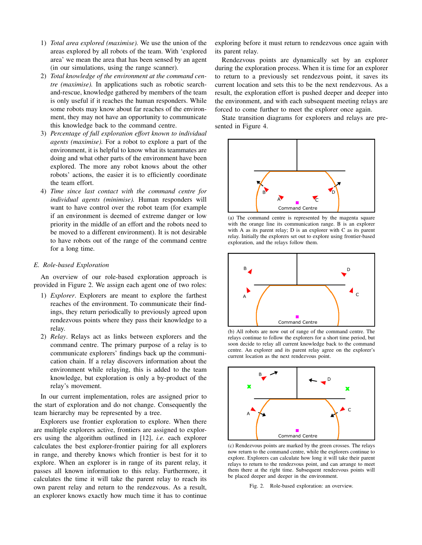- 1) *Total area explored (maximise).* We use the union of the areas explored by all robots of the team. With 'explored area' we mean the area that has been sensed by an agent (in our simulations, using the range scanner).
- 2) *Total knowledge of the environment at the command centre (maximise).* In applications such as robotic searchand-rescue, knowledge gathered by members of the team is only useful if it reaches the human responders. While some robots may know about far reaches of the environment, they may not have an opportunity to communicate this knowledge back to the command centre.
- 3) *Percentage of full exploration effort known to individual agents (maximise).* For a robot to explore a part of the environment, it is helpful to know what its teammates are doing and what other parts of the environment have been explored. The more any robot knows about the other robots' actions, the easier it is to efficiently coordinate the team effort.
- 4) *Time since last contact with the command centre for individual agents (minimise).* Human responders will want to have control over the robot team (for example if an environment is deemed of extreme danger or low priority in the middle of an effort and the robots need to be moved to a different environment). It is not desirable to have robots out of the range of the command centre for a long time.

#### *E. Role-based Exploration*

An overview of our role-based exploration approach is provided in Figure 2. We assign each agent one of two roles:

- 1) *Explorer*. Explorers are meant to explore the farthest reaches of the environment. To communicate their findings, they return periodically to previously agreed upon rendezvous points where they pass their knowledge to a relay.
- 2) *Relay*. Relays act as links between explorers and the command centre. The primary purpose of a relay is to communicate explorers' findings back up the communication chain. If a relay discovers information about the environment while relaying, this is added to the team knowledge, but exploration is only a by-product of the relay's movement.

In our current implementation, roles are assigned prior to the start of exploration and do not change. Consequently the team hierarchy may be represented by a tree.

Explorers use frontier exploration to explore. When there are multiple explorers active, frontiers are assigned to explorers using the algorithm outlined in [12], *i.e.* each explorer calculates the best explorer-frontier pairing for all explorers in range, and thereby knows which frontier is best for it to explore. When an explorer is in range of its parent relay, it passes all known information to this relay. Furthermore, it calculates the time it will take the parent relay to reach its own parent relay and return to the rendezvous. As a result, an explorer knows exactly how much time it has to continue

exploring before it must return to rendezvous once again with its parent relay.

Rendezvous points are dynamically set by an explorer during the exploration process. When it is time for an explorer to return to a previously set rendezvous point, it saves its current location and sets this to be the next rendezvous. As a result, the exploration effort is pushed deeper and deeper into the environment, and with each subsequent meeting relays are forced to come further to meet the explorer once again.

State transition diagrams for explorers and relays are presented in Figure 4.



(a) The command centre is represented by the magenta square with the orange line its communication range. B is an explorer with A as its parent relay; D is an explorer with C as its parent relay. Initially the explorers set out to explore using frontier-based exploration, and the relays follow them.



(b) All robots are now out of range of the command centre. The relays continue to follow the explorers for a short time period, but soon decide to relay all current knowledge back to the command centre. An explorer and its parent relay agree on the explorer's current location as the next rendezvous point.



(c) Rendezvous points are marked by the green crosses. The relays now return to the command centre, while the explorers continue to explore. Explorers can calculate how long it will take their parent relays to return to the rendezvous point, and can arrange to meet them there at the right time. Subsequent rendezvous points will be placed deeper and deeper in the environment.

Fig. 2. Role-based exploration: an overview.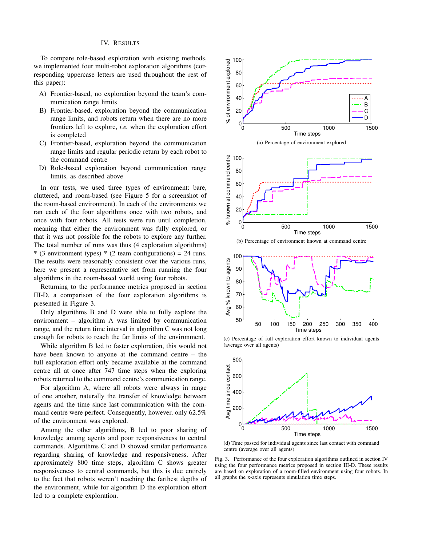#### IV. RESULTS

To compare role-based exploration with existing methods, we implemented four multi-robot exploration algorithms (corresponding uppercase letters are used throughout the rest of this paper):

- A) Frontier-based, no exploration beyond the team's communication range limits
- B) Frontier-based, exploration beyond the communication range limits, and robots return when there are no more frontiers left to explore, *i.e.* when the exploration effort is completed
- C) Frontier-based, exploration beyond the communication range limits and regular periodic return by each robot to the command centre
- D) Role-based exploration beyond communication range limits, as described above

In our tests, we used three types of environment: bare, cluttered, and room-based (see Figure 5 for a screenshot of the room-based environment). In each of the environments we ran each of the four algorithms once with two robots, and once with four robots. All tests were run until completion, meaning that either the environment was fully explored, or that it was not possible for the robots to explore any further. The total number of runs was thus (4 exploration algorithms)  $*$  (3 environment types)  $*$  (2 team configurations) = 24 runs. The results were reasonably consistent over the various runs, here we present a representative set from running the four algorithms in the room-based world using four robots.

Returning to the performance metrics proposed in section III-D, a comparison of the four exploration algorithms is presented in Figure 3.

Only algorithms B and D were able to fully explore the environment – algorithm A was limited by communication range, and the return time interval in algorithm C was not long enough for robots to reach the far limits of the environment.

While algorithm B led to faster exploration, this would not have been known to anyone at the command centre – the full exploration effort only became available at the command centre all at once after 747 time steps when the exploring robots returned to the command centre's communication range.

For algorithm A, where all robots were always in range of one another, naturally the transfer of knowledge between agents and the time since last communication with the command centre were perfect. Consequently, however, only 62.5% of the environment was explored.

Among the other algorithms, B led to poor sharing of knowledge among agents and poor responsiveness to central commands. Algorithms C and D showed similar performance regarding sharing of knowledge and responsiveness. After approximately 800 time steps, algorithm C shows greater responsiveness to central commands, but this is due entirely to the fact that robots weren't reaching the farthest depths of the environment, while for algorithm D the exploration effort led to a complete exploration.









(d) Time passed for individual agents since last contact with command centre (average over all agents)

Fig. 3. Performance of the four exploration algorithms outlined in section IV using the four performance metrics proposed in section III-D. These results are based on exploration of a room-filled environment using four robots. In all graphs the x-axis represents simulation time steps.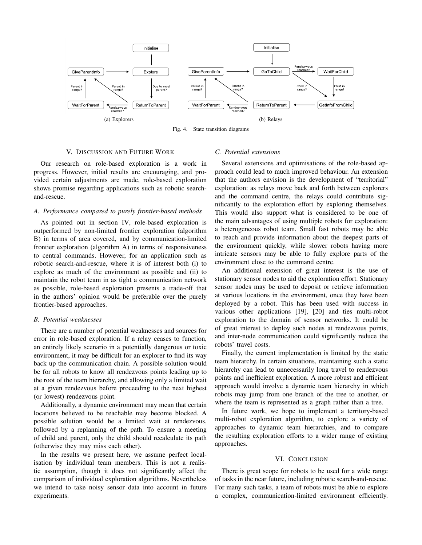

Fig. 4. State transition diagrams

#### V. DISCUSSION AND FUTURE WORK

Our research on role-based exploration is a work in progress. However, initial results are encouraging, and provided certain adjustments are made, role-based exploration shows promise regarding applications such as robotic searchand-rescue.

#### *A. Performance compared to purely frontier-based methods*

As pointed out in section IV, role-based exploration is outperformed by non-limited frontier exploration (algorithm B) in terms of area covered, and by communication-limited frontier exploration (algorithm A) in terms of responsiveness to central commands. However, for an application such as robotic search-and-rescue, where it is of interest both (i) to explore as much of the environment as possible and (ii) to maintain the robot team in as tight a communication network as possible, role-based exploration presents a trade-off that in the authors' opinion would be preferable over the purely frontier-based approaches.

#### *B. Potential weaknesses*

There are a number of potential weaknesses and sources for error in role-based exploration. If a relay ceases to function, an entirely likely scenario in a potentially dangerous or toxic environment, it may be difficult for an explorer to find its way back up the communication chain. A possible solution would be for all robots to know all rendezvous points leading up to the root of the team hierarchy, and allowing only a limited wait at a given rendezvous before proceeding to the next highest (or lowest) rendezvous point.

Additionally, a dynamic environment may mean that certain locations believed to be reachable may become blocked. A possible solution would be a limited wait at rendezvous, followed by a replanning of the path. To ensure a meeting of child and parent, only the child should recalculate its path (otherwise they may miss each other).

In the results we present here, we assume perfect localisation by individual team members. This is not a realistic assumption, though it does not significantly affect the comparison of individual exploration algorithms. Nevertheless we intend to take noisy sensor data into account in future experiments.

#### *C. Potential extensions*

Several extensions and optimisations of the role-based approach could lead to much improved behaviour. An extension that the authors envision is the development of "territorial" exploration: as relays move back and forth between explorers and the command centre, the relays could contribute significantly to the exploration effort by exploring themselves. This would also support what is considered to be one of the main advantages of using multiple robots for exploration: a heterogeneous robot team. Small fast robots may be able to reach and provide information about the deepest parts of the environment quickly, while slower robots having more intricate sensors may be able to fully explore parts of the environment close to the command centre.

An additional extension of great interest is the use of stationary sensor nodes to aid the exploration effort. Stationary sensor nodes may be used to deposit or retrieve information at various locations in the environment, once they have been deployed by a robot. This has been used with success in various other applications [19], [20] and ties multi-robot exploration to the domain of sensor networks. It could be of great interest to deploy such nodes at rendezvous points, and inter-node communication could significantly reduce the robots' travel costs.

Finally, the current implementation is limited by the static team hierarchy. In certain situations, maintaining such a static hierarchy can lead to unnecessarily long travel to rendezvous points and inefficient exploration. A more robust and efficient approach would involve a dynamic team hierarchy in which robots may jump from one branch of the tree to another, or where the team is represented as a graph rather than a tree.

In future work, we hope to implement a territory-based multi-robot exploration algorithm, to explore a variety of approaches to dynamic team hierarchies, and to compare the resulting exploration efforts to a wider range of existing approaches.

#### VI. CONCLUSION

There is great scope for robots to be used for a wide range of tasks in the near future, including robotic search-and-rescue. For many such tasks, a team of robots must be able to explore a complex, communication-limited environment efficiently.